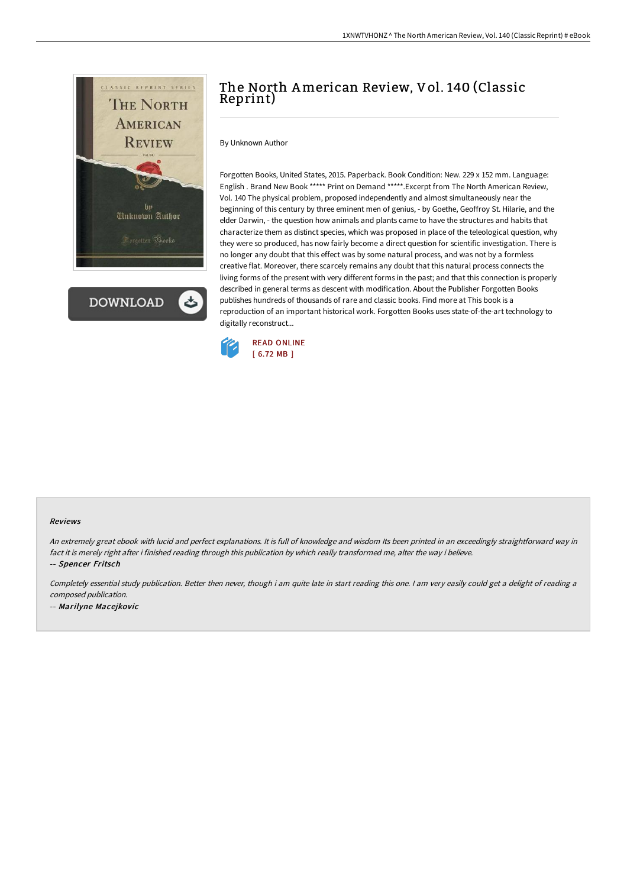

**DOWNLOAD** 

## The North American Review, Vol. 140 (Classic Reprint)

By Unknown Author

Forgotten Books, United States, 2015. Paperback. Book Condition: New. 229 x 152 mm. Language: English . Brand New Book \*\*\*\*\* Print on Demand \*\*\*\*\*.Excerpt from The North American Review, Vol. 140 The physical problem, proposed independently and almost simultaneously near the beginning of this century by three eminent men of genius, - by Goethe, Geoffroy St. Hilarie, and the elder Darwin, - the question how animals and plants came to have the structures and habits that characterize them as distinct species, which was proposed in place of the teleological question, why they were so produced, has now fairly become a direct question for scientific investigation. There is no longer any doubt that this effect was by some natural process, and was not by a formless creative flat. Moreover, there scarcely remains any doubt that this natural process connects the living forms of the present with very different forms in the past; and that this connection is properly described in general terms as descent with modification. About the Publisher Forgotten Books publishes hundreds of thousands of rare and classic books. Find more at This book is a reproduction of an important historical work. Forgotten Books uses state-of-the-art technology to digitally reconstruct...



## Reviews

An extremely great ebook with lucid and perfect explanations. It is full of knowledge and wisdom Its been printed in an exceedingly straightforward way in fact it is merely right after i finished reading through this publication by which really transformed me, alter the way i believe. -- Spencer Fritsch

Completely essential study publication. Better then never, though i am quite late in start reading this one. <sup>I</sup> am very easily could get <sup>a</sup> delight of reading <sup>a</sup> composed publication.

-- Marilyne Macejkovic